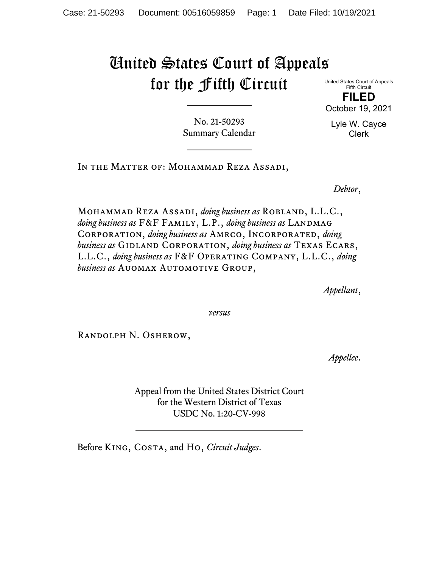## United States Court of Appeals for the Fifth Circuit

United States Court of Appeals Fifth Circuit **FILED** October 19, 2021

No. 21-50293 Summary Calendar Lyle W. Cayce Clerk

In the Matter of: Mohammad Reza Assadi,

*Debtor*,

Mohammad Reza Assadi, *doing business as* Robland, L.L.C., doing business as F&F FAMILY, L.P., doing business as LANDMAG Corporation, *doing business as* Amrco, Incorporated, *doing business as* GIDLAND CORPORATION, *doing business as* TEXAS ECARS, L.L.C., *doing business as* F&F Operating Company, L.L.C., *doing business as* Auomax Automotive Group,

*Appellant*,

*versus*

Randolph N. Osherow,

*Appellee*.

Appeal from the United States District Court for the Western District of Texas USDC No. 1:20-CV-998

Before King, Costa, and Ho, *Circuit Judges*.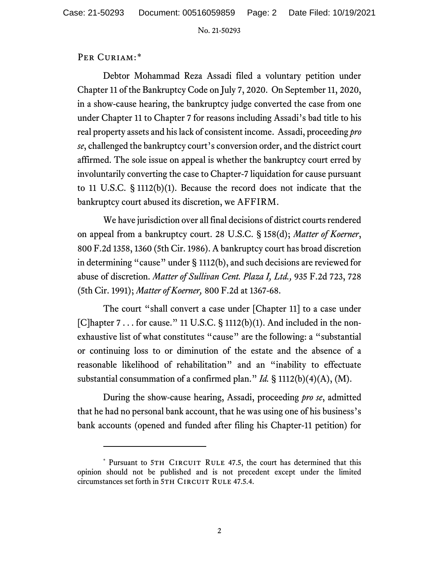No. 21-50293

## PER CURIAM:[\\*](#page-1-0)

Debtor Mohammad Reza Assadi filed a voluntary petition under Chapter 11 of the Bankruptcy Code on July 7, 2020. On September 11, 2020, in a show-cause hearing, the bankruptcy judge converted the case from one under Chapter 11 to Chapter 7 for reasons including Assadi's bad title to his real property assets and hislack of consistent income. Assadi, proceeding *pro se*, challenged the bankruptcy court's conversion order, and the district court affirmed. The sole issue on appeal is whether the bankruptcy court erred by involuntarily converting the case to Chapter-7 liquidation for cause pursuant to 11 U.S.C. § 1112(b)(1). Because the record does not indicate that the bankruptcy court abused its discretion, we AFFIRM.

We have jurisdiction over all final decisions of district courts rendered on appeal from a bankruptcy court. 28 U.S.C. § 158(d); *Matter of Koerner*, 800 F.2d 1358, 1360 (5th Cir. 1986). A bankruptcy court has broad discretion in determining "cause" under § 1112(b), and such decisions are reviewed for abuse of discretion. *Matter of Sullivan Cent. Plaza I, Ltd.,* 935 F.2d 723, 728 (5th Cir. 1991); *Matter of Koerner,* 800 F.2d at 1367-68.

The court "shall convert a case under [Chapter 11] to a case under [C] hapter  $7 \ldots$  for cause." 11 U.S.C. § 1112(b)(1). And included in the nonexhaustive list of what constitutes "cause" are the following: a "substantial or continuing loss to or diminution of the estate and the absence of a reasonable likelihood of rehabilitation" and an "inability to effectuate substantial consummation of a confirmed plan." *Id.* § 1112(b)(4)(A), (M).

During the show-cause hearing, Assadi, proceeding *pro se*, admitted that he had no personal bank account, that he was using one of his business's bank accounts (opened and funded after filing his Chapter-11 petition) for

<span id="page-1-0"></span><sup>\*</sup> Pursuant to 5TH CIRCUIT RULE 47.5, the court has determined that this opinion should not be published and is not precedent except under the limited circumstances set forth in 5TH CIRCUIT RULE 47.5.4.